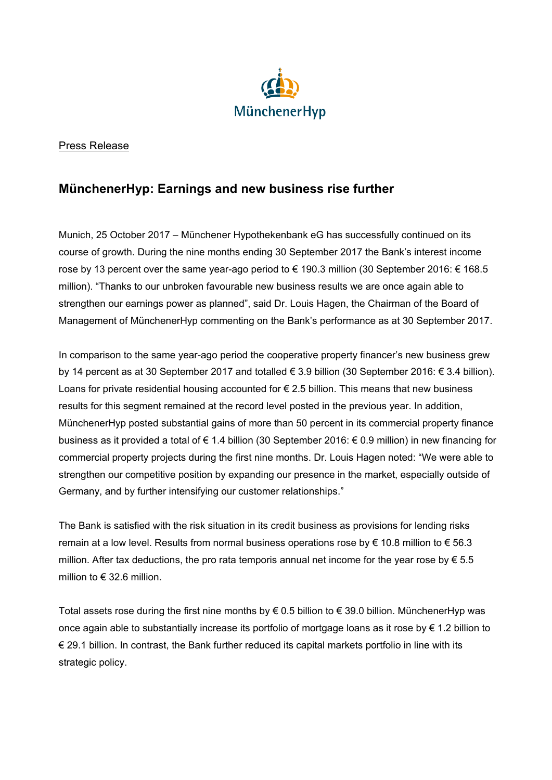

## Press Release

## **MünchenerHyp: Earnings and new business rise further**

Munich, 25 October 2017 – Münchener Hypothekenbank eG has successfully continued on its course of growth. During the nine months ending 30 September 2017 the Bank's interest income rose by 13 percent over the same year-ago period to € 190.3 million (30 September 2016: € 168.5 million). "Thanks to our unbroken favourable new business results we are once again able to strengthen our earnings power as planned", said Dr. Louis Hagen, the Chairman of the Board of Management of MünchenerHyp commenting on the Bank's performance as at 30 September 2017.

In comparison to the same year-ago period the cooperative property financer's new business grew by 14 percent as at 30 September 2017 and totalled € 3.9 billion (30 September 2016: € 3.4 billion). Loans for private residential housing accounted for  $\epsilon$  2.5 billion. This means that new business results for this segment remained at the record level posted in the previous year. In addition, MünchenerHyp posted substantial gains of more than 50 percent in its commercial property finance business as it provided a total of € 1.4 billion (30 September 2016: € 0.9 million) in new financing for commercial property projects during the first nine months. Dr. Louis Hagen noted: "We were able to strengthen our competitive position by expanding our presence in the market, especially outside of Germany, and by further intensifying our customer relationships."

The Bank is satisfied with the risk situation in its credit business as provisions for lending risks remain at a low level. Results from normal business operations rose by € 10.8 million to € 56.3 million. After tax deductions, the pro rata temporis annual net income for the year rose by  $\epsilon$  5.5 million to € 32.6 million.

Total assets rose during the first nine months by € 0.5 billion to € 39.0 billion. MünchenerHyp was once again able to substantially increase its portfolio of mortgage loans as it rose by € 1.2 billion to € 29.1 billion. In contrast, the Bank further reduced its capital markets portfolio in line with its strategic policy.